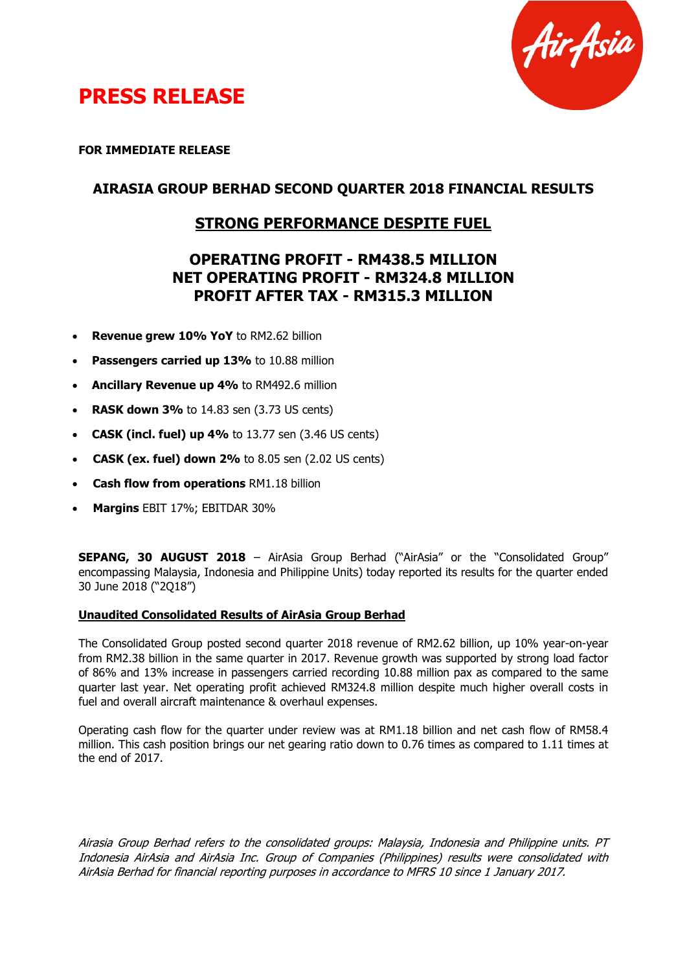

# **PRESS RELEASE**

**FOR IMMEDIATE RELEASE**

# **AIRASIA GROUP BERHAD SECOND QUARTER 2018 FINANCIAL RESULTS**

# **STRONG PERFORMANCE DESPITE FUEL**

# **OPERATING PROFIT - RM438.5 MILLION NET OPERATING PROFIT - RM324.8 MILLION PROFIT AFTER TAX - RM315.3 MILLION**

- **Revenue grew 10% YoY** to RM2.62 billion
- **Passengers carried up 13%** to 10.88 million
- **Ancillary Revenue up 4%** to RM492.6 million
- **RASK down 3%** to 14.83 sen (3.73 US cents)
- **CASK (incl. fuel) up 4%** to 13.77 sen (3.46 US cents)
- **CASK (ex. fuel) down 2%** to 8.05 sen (2.02 US cents)
- **Cash flow from operations** RM1.18 billion
- **Margins** EBIT 17%; EBITDAR 30%

**SEPANG, 30 AUGUST 2018** – AirAsia Group Berhad ("AirAsia" or the "Consolidated Group" encompassing Malaysia, Indonesia and Philippine Units) today reported its results for the quarter ended 30 June 2018 ("2Q18")

#### **Unaudited Consolidated Results of AirAsia Group Berhad**

The Consolidated Group posted second quarter 2018 revenue of RM2.62 billion, up 10% year-on-year from RM2.38 billion in the same quarter in 2017. Revenue growth was supported by strong load factor of 86% and 13% increase in passengers carried recording 10.88 million pax as compared to the same quarter last year. Net operating profit achieved RM324.8 million despite much higher overall costs in fuel and overall aircraft maintenance & overhaul expenses.

Operating cash flow for the quarter under review was at RM1.18 billion and net cash flow of RM58.4 million. This cash position brings our net gearing ratio down to 0.76 times as compared to 1.11 times at the end of 2017.

Airasia Group Berhad refers to the consolidated groups: Malaysia, Indonesia and Philippine units. PT Indonesia AirAsia and AirAsia Inc. Group of Companies (Philippines) results were consolidated with AirAsia Berhad for financial reporting purposes in accordance to MFRS 10 since 1 January 2017.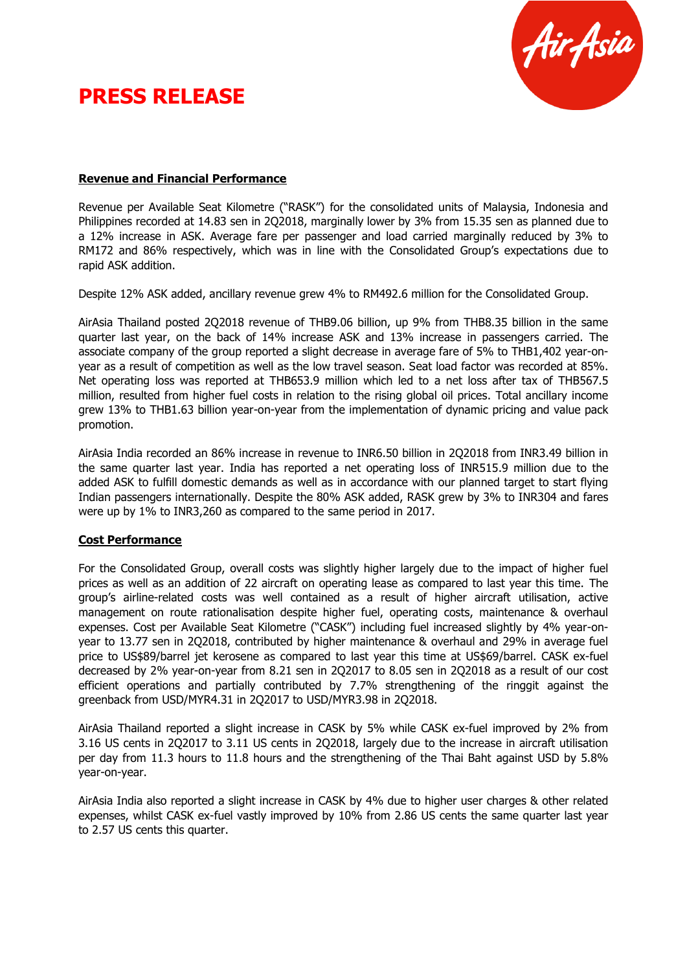



#### **Revenue and Financial Performance**

Revenue per Available Seat Kilometre ("RASK") for the consolidated units of Malaysia, Indonesia and Philippines recorded at 14.83 sen in 2Q2018, marginally lower by 3% from 15.35 sen as planned due to a 12% increase in ASK. Average fare per passenger and load carried marginally reduced by 3% to RM172 and 86% respectively, which was in line with the Consolidated Group's expectations due to rapid ASK addition.

Despite 12% ASK added, ancillary revenue grew 4% to RM492.6 million for the Consolidated Group.

AirAsia Thailand posted 2Q2018 revenue of THB9.06 billion, up 9% from THB8.35 billion in the same quarter last year, on the back of 14% increase ASK and 13% increase in passengers carried. The associate company of the group reported a slight decrease in average fare of 5% to THB1,402 year-onyear as a result of competition as well as the low travel season. Seat load factor was recorded at 85%. Net operating loss was reported at THB653.9 million which led to a net loss after tax of THB567.5 million, resulted from higher fuel costs in relation to the rising global oil prices. Total ancillary income grew 13% to THB1.63 billion year-on-year from the implementation of dynamic pricing and value pack promotion.

AirAsia India recorded an 86% increase in revenue to INR6.50 billion in 2Q2018 from INR3.49 billion in the same quarter last year. India has reported a net operating loss of INR515.9 million due to the added ASK to fulfill domestic demands as well as in accordance with our planned target to start flying Indian passengers internationally. Despite the 80% ASK added, RASK grew by 3% to INR304 and fares were up by 1% to INR3,260 as compared to the same period in 2017.

#### **Cost Performance**

For the Consolidated Group, overall costs was slightly higher largely due to the impact of higher fuel prices as well as an addition of 22 aircraft on operating lease as compared to last year this time. The group's airline-related costs was well contained as a result of higher aircraft utilisation, active management on route rationalisation despite higher fuel, operating costs, maintenance & overhaul expenses. Cost per Available Seat Kilometre ("CASK") including fuel increased slightly by 4% year-onyear to 13.77 sen in 2Q2018, contributed by higher maintenance & overhaul and 29% in average fuel price to US\$89/barrel jet kerosene as compared to last year this time at US\$69/barrel. CASK ex-fuel decreased by 2% year-on-year from 8.21 sen in 2Q2017 to 8.05 sen in 2Q2018 as a result of our cost efficient operations and partially contributed by 7.7% strengthening of the ringgit against the greenback from USD/MYR4.31 in 2Q2017 to USD/MYR3.98 in 2Q2018.

AirAsia Thailand reported a slight increase in CASK by 5% while CASK ex-fuel improved by 2% from 3.16 US cents in 2Q2017 to 3.11 US cents in 2Q2018, largely due to the increase in aircraft utilisation per day from 11.3 hours to 11.8 hours and the strengthening of the Thai Baht against USD by 5.8% year-on-year.

AirAsia India also reported a slight increase in CASK by 4% due to higher user charges & other related expenses, whilst CASK ex-fuel vastly improved by 10% from 2.86 US cents the same quarter last year to 2.57 US cents this quarter.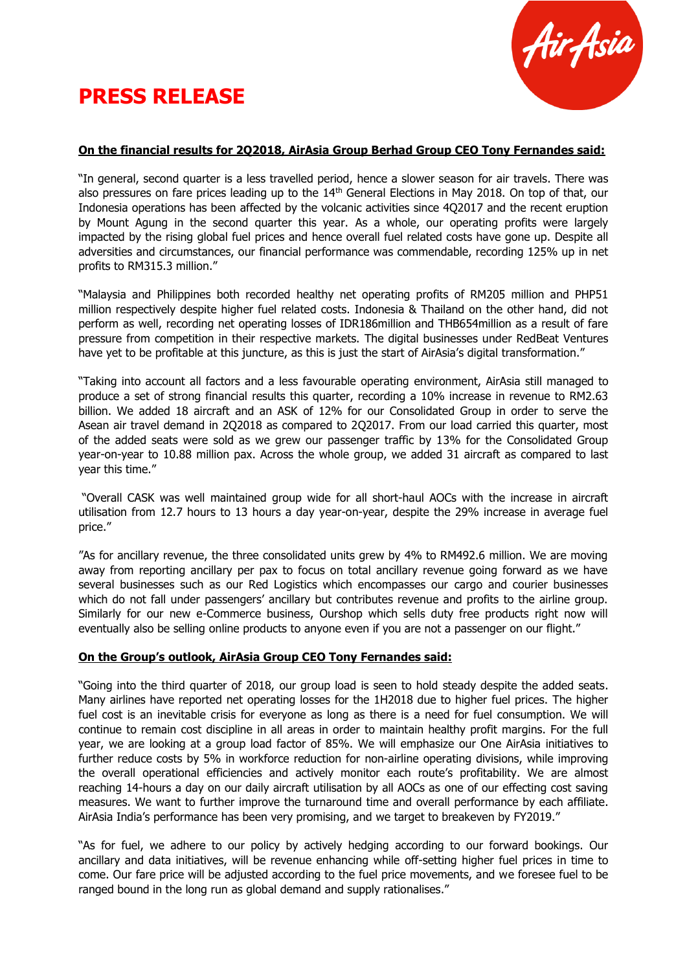



### **On the financial results for 2Q2018, AirAsia Group Berhad Group CEO Tony Fernandes said:**

"In general, second quarter is a less travelled period, hence a slower season for air travels. There was also pressures on fare prices leading up to the 14<sup>th</sup> General Elections in May 2018. On top of that, our Indonesia operations has been affected by the volcanic activities since 4Q2017 and the recent eruption by Mount Agung in the second quarter this year. As a whole, our operating profits were largely impacted by the rising global fuel prices and hence overall fuel related costs have gone up. Despite all adversities and circumstances, our financial performance was commendable, recording 125% up in net profits to RM315.3 million."

"Malaysia and Philippines both recorded healthy net operating profits of RM205 million and PHP51 million respectively despite higher fuel related costs. Indonesia & Thailand on the other hand, did not perform as well, recording net operating losses of IDR186million and THB654million as a result of fare pressure from competition in their respective markets. The digital businesses under RedBeat Ventures have yet to be profitable at this juncture, as this is just the start of AirAsia's digital transformation."

"Taking into account all factors and a less favourable operating environment, AirAsia still managed to produce a set of strong financial results this quarter, recording a 10% increase in revenue to RM2.63 billion. We added 18 aircraft and an ASK of 12% for our Consolidated Group in order to serve the Asean air travel demand in 2Q2018 as compared to 2Q2017. From our load carried this quarter, most of the added seats were sold as we grew our passenger traffic by 13% for the Consolidated Group year-on-year to 10.88 million pax. Across the whole group, we added 31 aircraft as compared to last year this time."

"Overall CASK was well maintained group wide for all short-haul AOCs with the increase in aircraft utilisation from 12.7 hours to 13 hours a day year-on-year, despite the 29% increase in average fuel price."

"As for ancillary revenue, the three consolidated units grew by 4% to RM492.6 million. We are moving away from reporting ancillary per pax to focus on total ancillary revenue going forward as we have several businesses such as our Red Logistics which encompasses our cargo and courier businesses which do not fall under passengers' ancillary but contributes revenue and profits to the airline group. Similarly for our new e-Commerce business, Ourshop which sells duty free products right now will eventually also be selling online products to anyone even if you are not a passenger on our flight."

#### **On the Group's outlook, AirAsia Group CEO Tony Fernandes said:**

"Going into the third quarter of 2018, our group load is seen to hold steady despite the added seats. Many airlines have reported net operating losses for the 1H2018 due to higher fuel prices. The higher fuel cost is an inevitable crisis for everyone as long as there is a need for fuel consumption. We will continue to remain cost discipline in all areas in order to maintain healthy profit margins. For the full year, we are looking at a group load factor of 85%. We will emphasize our One AirAsia initiatives to further reduce costs by 5% in workforce reduction for non-airline operating divisions, while improving the overall operational efficiencies and actively monitor each route's profitability. We are almost reaching 14-hours a day on our daily aircraft utilisation by all AOCs as one of our effecting cost saving measures. We want to further improve the turnaround time and overall performance by each affiliate. AirAsia India's performance has been very promising, and we target to breakeven by FY2019."

"As for fuel, we adhere to our policy by actively hedging according to our forward bookings. Our ancillary and data initiatives, will be revenue enhancing while off-setting higher fuel prices in time to come. Our fare price will be adjusted according to the fuel price movements, and we foresee fuel to be ranged bound in the long run as global demand and supply rationalises."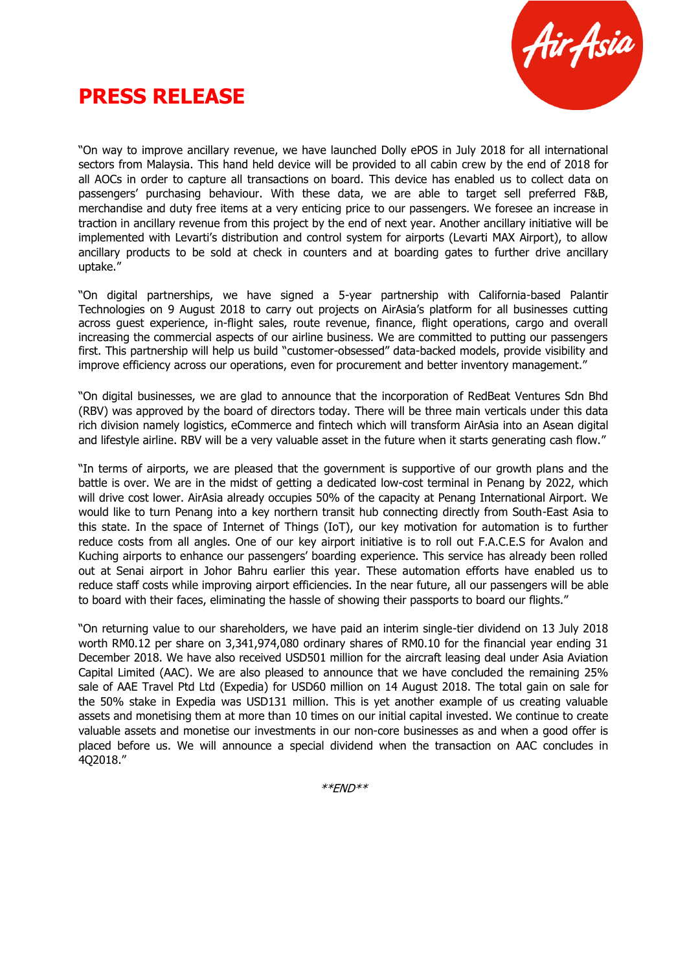



"On way to improve ancillary revenue, we have launched Dolly ePOS in July 2018 for all international sectors from Malaysia. This hand held device will be provided to all cabin crew by the end of 2018 for all AOCs in order to capture all transactions on board. This device has enabled us to collect data on passengers' purchasing behaviour. With these data, we are able to target sell preferred F&B, merchandise and duty free items at a very enticing price to our passengers. We foresee an increase in traction in ancillary revenue from this project by the end of next year. Another ancillary initiative will be implemented with Levarti's distribution and control system for airports (Levarti MAX Airport), to allow ancillary products to be sold at check in counters and at boarding gates to further drive ancillary uptake."

"On digital partnerships, we have signed a 5-year partnership with California-based Palantir Technologies on 9 August 2018 to carry out projects on AirAsia's platform for all businesses cutting across guest experience, in-flight sales, route revenue, finance, flight operations, cargo and overall increasing the commercial aspects of our airline business. We are committed to putting our passengers first. This partnership will help us build "customer-obsessed" data-backed models, provide visibility and improve efficiency across our operations, even for procurement and better inventory management."

"On digital businesses, we are glad to announce that the incorporation of RedBeat Ventures Sdn Bhd (RBV) was approved by the board of directors today. There will be three main verticals under this data rich division namely logistics, eCommerce and fintech which will transform AirAsia into an Asean digital and lifestyle airline. RBV will be a very valuable asset in the future when it starts generating cash flow."

"In terms of airports, we are pleased that the government is supportive of our growth plans and the battle is over. We are in the midst of getting a dedicated low-cost terminal in Penang by 2022, which will drive cost lower. AirAsia already occupies 50% of the capacity at Penang International Airport. We would like to turn Penang into a key northern transit hub connecting directly from South-East Asia to this state. In the space of Internet of Things (IoT), our key motivation for automation is to further reduce costs from all angles. One of our key airport initiative is to roll out F.A.C.E.S for Avalon and Kuching airports to enhance our passengers' boarding experience. This service has already been rolled out at Senai airport in Johor Bahru earlier this year. These automation efforts have enabled us to reduce staff costs while improving airport efficiencies. In the near future, all our passengers will be able to board with their faces, eliminating the hassle of showing their passports to board our flights."

"On returning value to our shareholders, we have paid an interim single-tier dividend on 13 July 2018 worth RM0.12 per share on 3,341,974,080 ordinary shares of RM0.10 for the financial year ending 31 December 2018. We have also received USD501 million for the aircraft leasing deal under Asia Aviation Capital Limited (AAC). We are also pleased to announce that we have concluded the remaining 25% sale of AAE Travel Ptd Ltd (Expedia) for USD60 million on 14 August 2018. The total gain on sale for the 50% stake in Expedia was USD131 million. This is yet another example of us creating valuable assets and monetising them at more than 10 times on our initial capital invested. We continue to create valuable assets and monetise our investments in our non-core businesses as and when a good offer is placed before us. We will announce a special dividend when the transaction on AAC concludes in 4Q2018."

\*\*END\*\*